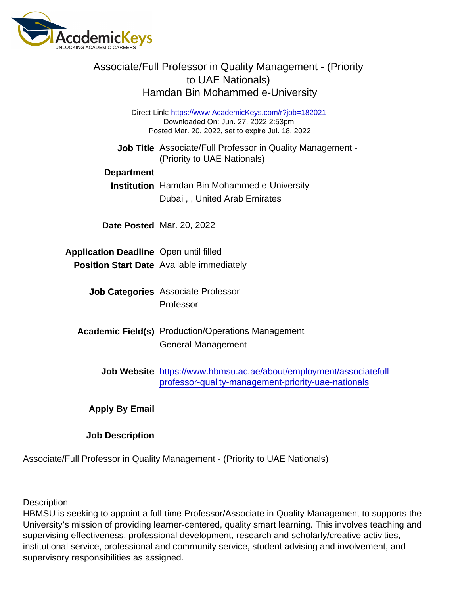| Associate/Full Professor in Quality Management - (Priority<br>to UAE Nationals)<br>Hamdan Bin Mohammed e-University                                |                                                                                           |
|----------------------------------------------------------------------------------------------------------------------------------------------------|-------------------------------------------------------------------------------------------|
| Direct Link: https://www.AcademicKeys.com/r?job=182021<br>Downloaded On: Jun. 27, 2022 2:53pm<br>Posted Mar. 20, 2022, set to expire Jul. 18, 2022 |                                                                                           |
|                                                                                                                                                    | Job Title Associate/Full Professor in Quality Management -<br>(Priority to UAE Nationals) |
| Department                                                                                                                                         |                                                                                           |
| <b>Institution</b>                                                                                                                                 | Hamdan Bin Mohammed e-University                                                          |
|                                                                                                                                                    | Dubai,, United Arab Emirates                                                              |
|                                                                                                                                                    |                                                                                           |
|                                                                                                                                                    | Date Posted Mar. 20, 2022                                                                 |
|                                                                                                                                                    |                                                                                           |
| <b>Application Deadline</b>                                                                                                                        | Open until filled                                                                         |
| <b>Position Start Date</b>                                                                                                                         | Available immediately                                                                     |
|                                                                                                                                                    | <b>Associate Professor</b>                                                                |
| <b>Job Categories</b>                                                                                                                              | Professor                                                                                 |
|                                                                                                                                                    |                                                                                           |
| Academic Field(s)                                                                                                                                  | <b>Production/Operations Management</b>                                                   |
|                                                                                                                                                    | <b>General Management</b>                                                                 |
|                                                                                                                                                    |                                                                                           |
| <b>Job Website</b>                                                                                                                                 | https://www.hbmsu.ac.ae/about/employment/associatefull-                                   |
|                                                                                                                                                    | professor-quality-management-priority-uae-nationals                                       |
|                                                                                                                                                    |                                                                                           |
| Apply By Email                                                                                                                                     |                                                                                           |
|                                                                                                                                                    |                                                                                           |

Job Description

Associate/Full Professor in Quality Management - (Priority to UAE Nationals)

**Description** 

HBMSU is seeking to appoint a full-time Professor/Associate in Quality Management to supports the University's mission of providing learner-centered, quality smart learning. This involves teaching and supervising effectiveness, professional development, research and scholarly/creative activities, institutional service, professional and community service, student advising and involvement, and supervisory responsibilities as assigned.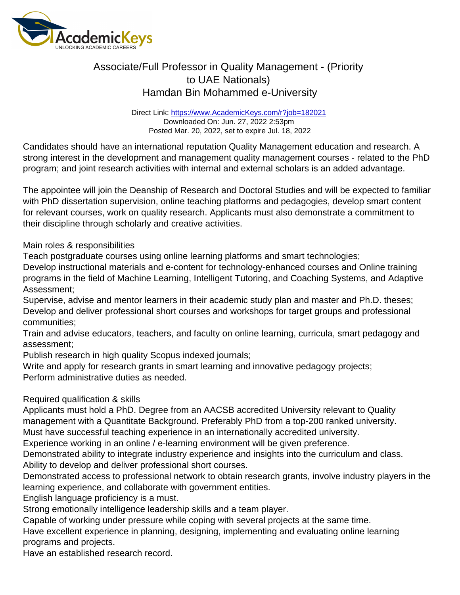## Associate/Full Professor in Quality Management - (Priority to UAE Nationals) Hamdan Bin Mohammed e-University

Direct Link: <https://www.AcademicKeys.com/r?job=182021> Downloaded On: Jun. 27, 2022 2:53pm Posted Mar. 20, 2022, set to expire Jul. 18, 2022

Candidates should have an international reputation Quality Management education and research. A strong interest in the development and management quality management courses - related to the PhD program; and joint research activities with internal and external scholars is an added advantage.

The appointee will join the Deanship of Research and Doctoral Studies and will be expected to familiar with PhD dissertation supervision, online teaching platforms and pedagogies, develop smart content for relevant courses, work on quality research. Applicants must also demonstrate a commitment to their discipline through scholarly and creative activities.

Main roles & responsibilities

Teach postgraduate courses using online learning platforms and smart technologies;

Develop instructional materials and e-content for technology-enhanced courses and Online training programs in the field of Machine Learning, Intelligent Tutoring, and Coaching Systems, and Adaptive Assessment;

Supervise, advise and mentor learners in their academic study plan and master and Ph.D. theses; Develop and deliver professional short courses and workshops for target groups and professional communities;

Train and advise educators, teachers, and faculty on online learning, curricula, smart pedagogy and assessment;

Publish research in high quality Scopus indexed journals;

Write and apply for research grants in smart learning and innovative pedagogy projects; Perform administrative duties as needed.

Required qualification & skills

Applicants must hold a PhD. Degree from an AACSB accredited University relevant to Quality management with a Quantitate Background. Preferably PhD from a top-200 ranked university.

Must have successful teaching experience in an internationally accredited university. Experience working in an online / e-learning environment will be given preference.

Demonstrated ability to integrate industry experience and insights into the curriculum and class. Ability to develop and deliver professional short courses.

Demonstrated access to professional network to obtain research grants, involve industry players in the learning experience, and collaborate with government entities.

English language proficiency is a must.

Strong emotionally intelligence leadership skills and a team player.

Capable of working under pressure while coping with several projects at the same time.

Have excellent experience in planning, designing, implementing and evaluating online learning programs and projects.

Have an established research record.